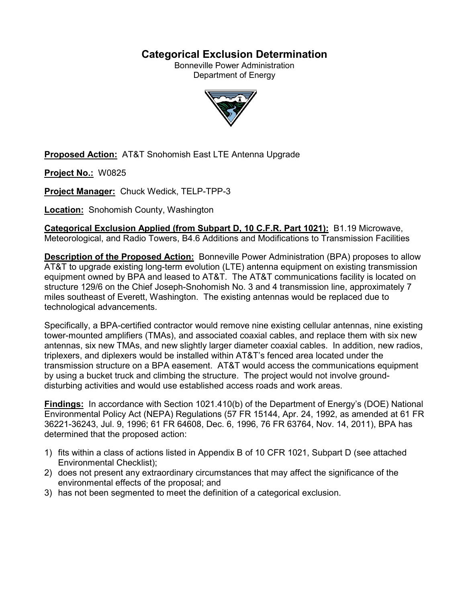# **Categorical Exclusion Determination**

Bonneville Power Administration Department of Energy



**Proposed Action:** AT&T Snohomish East LTE Antenna Upgrade

**Project No.:** W0825

**Project Manager:** Chuck Wedick, TELP-TPP-3

**Location:** Snohomish County, Washington

**Categorical Exclusion Applied (from Subpart D, 10 C.F.R. Part 1021):** B1.19 Microwave, Meteorological, and Radio Towers, B4.6 Additions and Modifications to Transmission Facilities

**Description of the Proposed Action:** Bonneville Power Administration (BPA) proposes to allow AT&T to upgrade existing long-term evolution (LTE) antenna equipment on existing transmission equipment owned by BPA and leased to AT&T. The AT&T communications facility is located on structure 129/6 on the Chief Joseph-Snohomish No. 3 and 4 transmission line, approximately 7 miles southeast of Everett, Washington. The existing antennas would be replaced due to technological advancements.

Specifically, a BPA-certified contractor would remove nine existing cellular antennas, nine existing tower-mounted amplifiers (TMAs), and associated coaxial cables, and replace them with six new antennas, six new TMAs, and new slightly larger diameter coaxial cables. In addition, new radios, triplexers, and diplexers would be installed within AT&T's fenced area located under the transmission structure on a BPA easement. AT&T would access the communications equipment by using a bucket truck and climbing the structure. The project would not involve grounddisturbing activities and would use established access roads and work areas.

**Findings:** In accordance with Section 1021.410(b) of the Department of Energy's (DOE) National Environmental Policy Act (NEPA) Regulations (57 FR 15144, Apr. 24, 1992, as amended at 61 FR 36221-36243, Jul. 9, 1996; 61 FR 64608, Dec. 6, 1996, 76 FR 63764, Nov. 14, 2011), BPA has determined that the proposed action:

- 1) fits within a class of actions listed in Appendix B of 10 CFR 1021, Subpart D (see attached Environmental Checklist);
- 2) does not present any extraordinary circumstances that may affect the significance of the environmental effects of the proposal; and
- 3) has not been segmented to meet the definition of a categorical exclusion.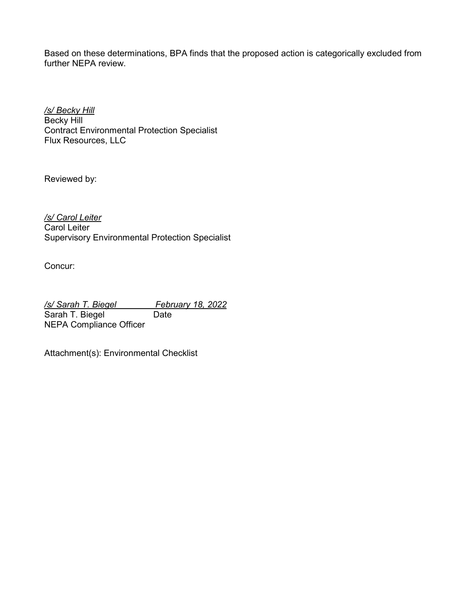Based on these determinations, BPA finds that the proposed action is categorically excluded from further NEPA review.

*/s/ Becky Hill* Becky Hill Contract Environmental Protection Specialist Flux Resources, LLC

Reviewed by:

*/s/ Carol Leiter* Carol Leiter Supervisory Environmental Protection Specialist

Concur:

*/s/ Sarah T. Biegel February 18, 2022*<br>
Sarah T. Biegel **Frank Carel** Sarah T. Biegel NEPA Compliance Officer

Attachment(s): Environmental Checklist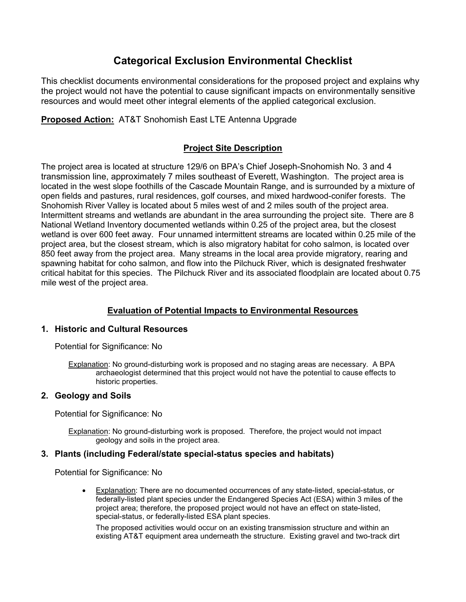# **Categorical Exclusion Environmental Checklist**

This checklist documents environmental considerations for the proposed project and explains why the project would not have the potential to cause significant impacts on environmentally sensitive resources and would meet other integral elements of the applied categorical exclusion.

**Proposed Action:** AT&T Snohomish East LTE Antenna Upgrade

### **Project Site Description**

The project area is located at structure 129/6 on BPA's Chief Joseph-Snohomish No. 3 and 4 transmission line, approximately 7 miles southeast of Everett, Washington. The project area is located in the west slope foothills of the Cascade Mountain Range, and is surrounded by a mixture of open fields and pastures, rural residences, golf courses, and mixed hardwood-conifer forests. The Snohomish River Valley is located about 5 miles west of and 2 miles south of the project area. Intermittent streams and wetlands are abundant in the area surrounding the project site. There are 8 National Wetland Inventory documented wetlands within 0.25 of the project area, but the closest wetland is over 600 feet away. Four unnamed intermittent streams are located within 0.25 mile of the project area, but the closest stream, which is also migratory habitat for coho salmon, is located over 850 feet away from the project area. Many streams in the local area provide migratory, rearing and spawning habitat for coho salmon, and flow into the Pilchuck River, which is designated freshwater critical habitat for this species. The Pilchuck River and its associated floodplain are located about 0.75 mile west of the project area.

## **Evaluation of Potential Impacts to Environmental Resources**

### **1. Historic and Cultural Resources**

Potential for Significance: No

Explanation: No ground-disturbing work is proposed and no staging areas are necessary. A BPA archaeologist determined that this project would not have the potential to cause effects to historic properties.

### **2. Geology and Soils**

Potential for Significance: No

Explanation: No ground-disturbing work is proposed. Therefore, the project would not impact geology and soils in the project area.

### **3. Plants (including Federal/state special-status species and habitats)**

Potential for Significance: No

• Explanation: There are no documented occurrences of any state-listed, special-status, or federally-listed plant species under the Endangered Species Act (ESA) within 3 miles of the project area; therefore, the proposed project would not have an effect on state-listed, special-status, or federally-listed ESA plant species.

The proposed activities would occur on an existing transmission structure and within an existing AT&T equipment area underneath the structure. Existing gravel and two-track dirt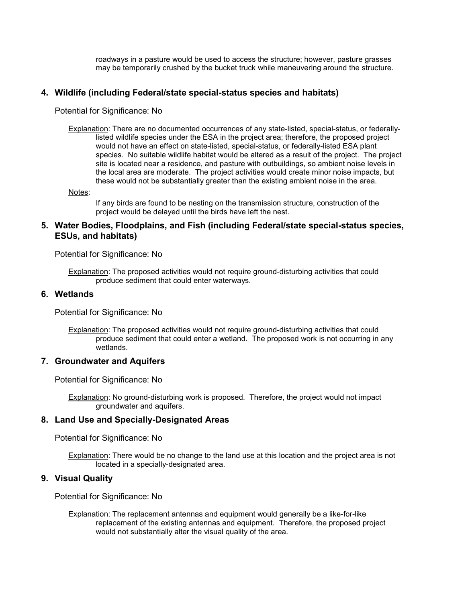roadways in a pasture would be used to access the structure; however, pasture grasses may be temporarily crushed by the bucket truck while maneuvering around the structure.

### **4. Wildlife (including Federal/state special-status species and habitats)**

Potential for Significance: No

Explanation: There are no documented occurrences of any state-listed, special-status, or federallylisted wildlife species under the ESA in the project area; therefore, the proposed project would not have an effect on state-listed, special-status, or federally-listed ESA plant species. No suitable wildlife habitat would be altered as a result of the project. The project site is located near a residence, and pasture with outbuildings, so ambient noise levels in the local area are moderate. The project activities would create minor noise impacts, but these would not be substantially greater than the existing ambient noise in the area.

Notes:

If any birds are found to be nesting on the transmission structure, construction of the project would be delayed until the birds have left the nest.

### **5. Water Bodies, Floodplains, and Fish (including Federal/state special-status species, ESUs, and habitats)**

Potential for Significance: No

Explanation: The proposed activities would not require ground-disturbing activities that could produce sediment that could enter waterways.

### **6. Wetlands**

Potential for Significance: No

**Explanation:** The proposed activities would not require ground-disturbing activities that could produce sediment that could enter a wetland. The proposed work is not occurring in any wetlands.

### **7. Groundwater and Aquifers**

Potential for Significance: No

Explanation: No ground-disturbing work is proposed. Therefore, the project would not impact groundwater and aquifers.

### **8. Land Use and Specially-Designated Areas**

Potential for Significance: No

Explanation: There would be no change to the land use at this location and the project area is not located in a specially-designated area.

### **9. Visual Quality**

Potential for Significance: No

Explanation: The replacement antennas and equipment would generally be a like-for-like replacement of the existing antennas and equipment. Therefore, the proposed project would not substantially alter the visual quality of the area.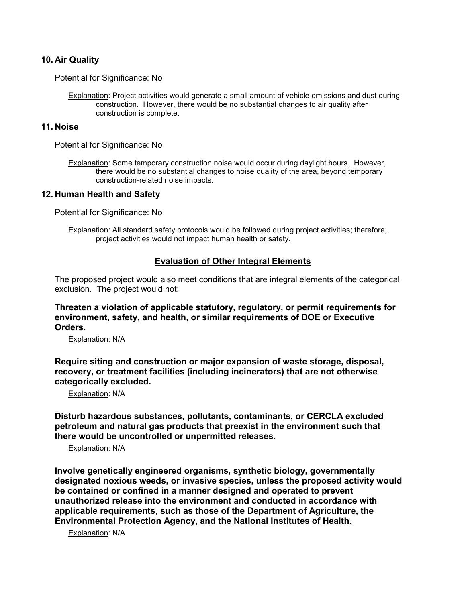### **10. Air Quality**

Potential for Significance: No

Explanation: Project activities would generate a small amount of vehicle emissions and dust during construction. However, there would be no substantial changes to air quality after construction is complete.

### **11. Noise**

Potential for Significance: No

Explanation: Some temporary construction noise would occur during daylight hours. However, there would be no substantial changes to noise quality of the area, beyond temporary construction-related noise impacts.

### **12. Human Health and Safety**

Potential for Significance: No

Explanation: All standard safety protocols would be followed during project activities; therefore, project activities would not impact human health or safety.

### **Evaluation of Other Integral Elements**

The proposed project would also meet conditions that are integral elements of the categorical exclusion. The project would not:

**Threaten a violation of applicable statutory, regulatory, or permit requirements for environment, safety, and health, or similar requirements of DOE or Executive Orders.**

Explanation: N/A

**Require siting and construction or major expansion of waste storage, disposal, recovery, or treatment facilities (including incinerators) that are not otherwise categorically excluded.**

Explanation: N/A

**Disturb hazardous substances, pollutants, contaminants, or CERCLA excluded petroleum and natural gas products that preexist in the environment such that there would be uncontrolled or unpermitted releases.**

Explanation: N/A

**Involve genetically engineered organisms, synthetic biology, governmentally designated noxious weeds, or invasive species, unless the proposed activity would be contained or confined in a manner designed and operated to prevent unauthorized release into the environment and conducted in accordance with applicable requirements, such as those of the Department of Agriculture, the Environmental Protection Agency, and the National Institutes of Health.**

Explanation: N/A